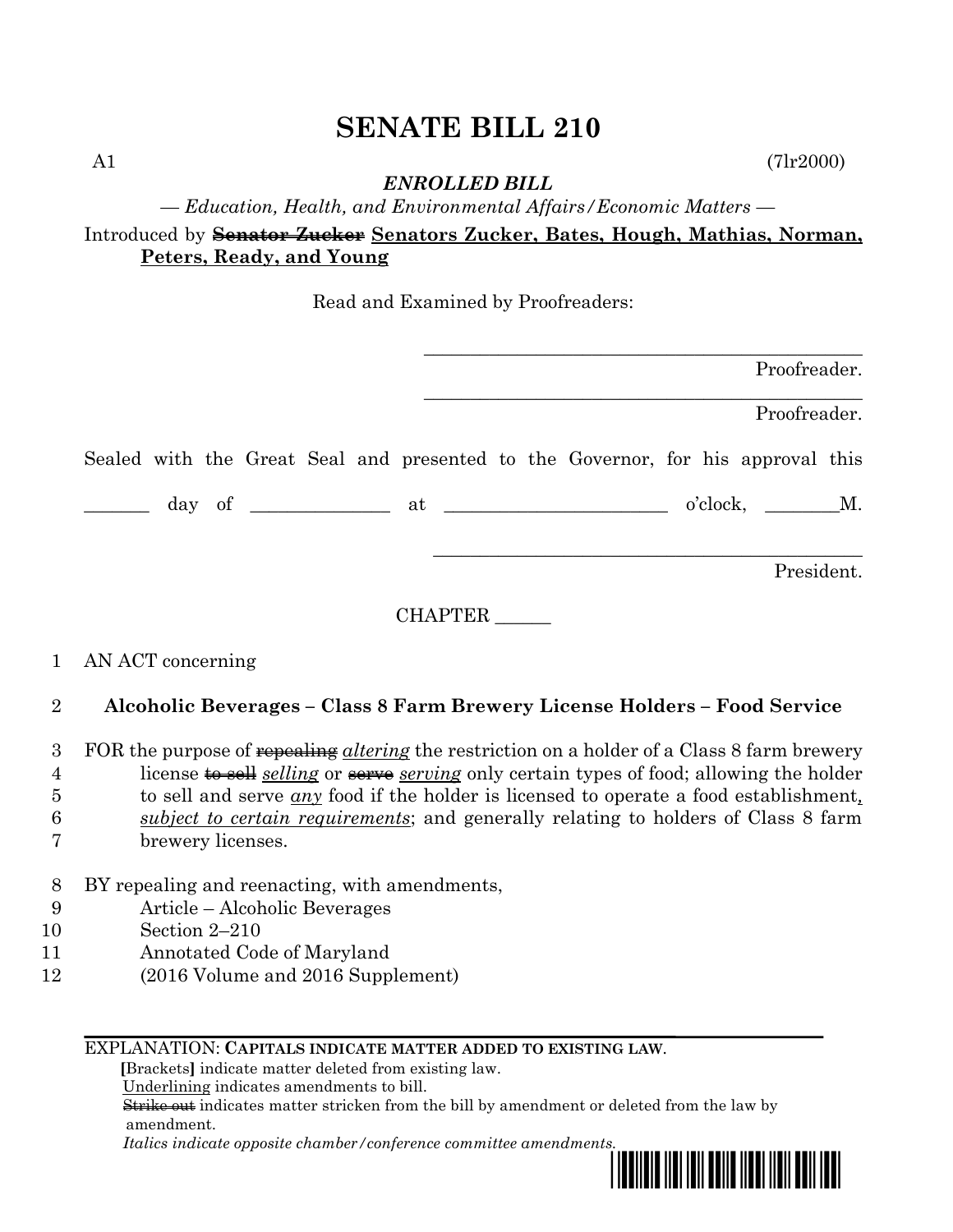# **SENATE BILL 210**

A1 (7lr2000)

*ENROLLED BILL*

*— Education, Health, and Environmental Affairs/Economic Matters —*

Introduced by **Senator Zucker Senators Zucker, Bates, Hough, Mathias, Norman, Peters, Ready, and Young**

Read and Examined by Proofreaders:

|                     |         | Proofreader.                                                                    |
|---------------------|---------|---------------------------------------------------------------------------------|
|                     |         | Proofreader.                                                                    |
|                     |         | Sealed with the Great Seal and presented to the Governor, for his approval this |
|                     |         |                                                                                 |
|                     |         | President.                                                                      |
|                     | CHAPTER |                                                                                 |
| 1 AN ACT concerning |         |                                                                                 |

## 2 **Alcoholic Beverages – Class 8 Farm Brewery License Holders – Food Service**

 FOR the purpose of repealing *altering* the restriction on a holder of a Class 8 farm brewery 4 license to sell *selling* or serve *serving* only certain types of food; allowing the holder to sell and serve *any* food if the holder is licensed to operate a food establishment*, subject to certain requirements*; and generally relating to holders of Class 8 farm brewery licenses.

- 8 BY repealing and reenacting, with amendments,
- 9 Article Alcoholic Beverages
- 10 Section 2–210
- 11 Annotated Code of Maryland
- 12 (2016 Volume and 2016 Supplement)

#### EXPLANATION: **CAPITALS INDICATE MATTER ADDED TO EXISTING LAW**.

 **[**Brackets**]** indicate matter deleted from existing law.

Underlining indicates amendments to bill.

 Strike out indicates matter stricken from the bill by amendment or deleted from the law by amendment.

 *Italics indicate opposite chamber/conference committee amendments.*

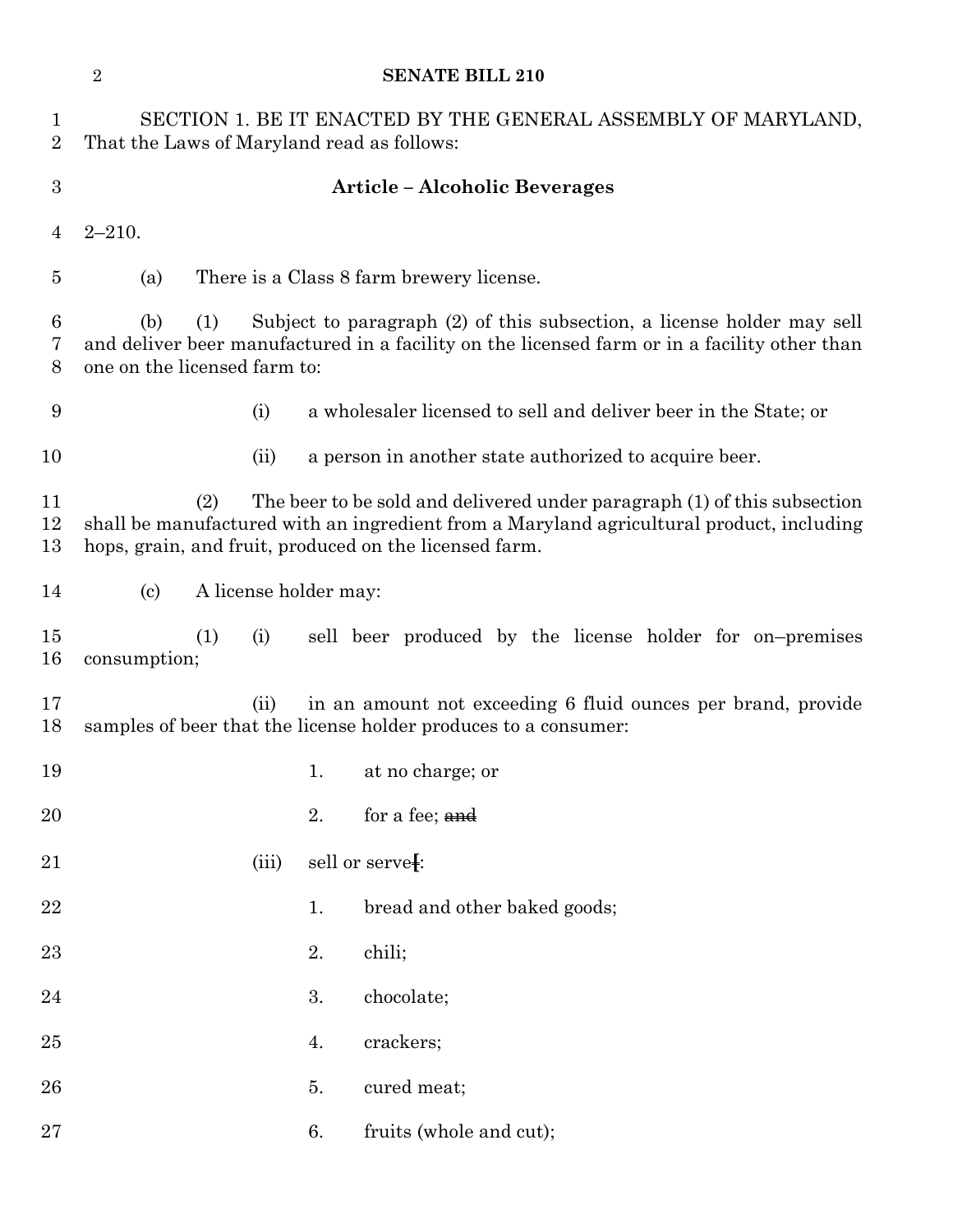|                                | $\overline{2}$                                                                                                                                                                                                       |     |       |    | <b>SENATE BILL 210</b>                                                                                                                                                                                                         |
|--------------------------------|----------------------------------------------------------------------------------------------------------------------------------------------------------------------------------------------------------------------|-----|-------|----|--------------------------------------------------------------------------------------------------------------------------------------------------------------------------------------------------------------------------------|
| $\mathbf{1}$<br>$\overline{2}$ | SECTION 1. BE IT ENACTED BY THE GENERAL ASSEMBLY OF MARYLAND,<br>That the Laws of Maryland read as follows:                                                                                                          |     |       |    |                                                                                                                                                                                                                                |
| $\boldsymbol{3}$               |                                                                                                                                                                                                                      |     |       |    | <b>Article – Alcoholic Beverages</b>                                                                                                                                                                                           |
| $\overline{4}$                 | $2 - 210.$                                                                                                                                                                                                           |     |       |    |                                                                                                                                                                                                                                |
| $\overline{5}$                 | (a)                                                                                                                                                                                                                  |     |       |    | There is a Class 8 farm brewery license.                                                                                                                                                                                       |
| 6<br>7<br>8                    | Subject to paragraph (2) of this subsection, a license holder may sell<br>(b)<br>(1)<br>and deliver beer manufactured in a facility on the licensed farm or in a facility other than<br>one on the licensed farm to: |     |       |    |                                                                                                                                                                                                                                |
| 9                              |                                                                                                                                                                                                                      |     | (i)   |    | a wholesaler licensed to sell and deliver beer in the State; or                                                                                                                                                                |
| 10                             |                                                                                                                                                                                                                      |     | (ii)  |    | a person in another state authorized to acquire beer.                                                                                                                                                                          |
| 11<br>12<br>13                 |                                                                                                                                                                                                                      | (2) |       |    | The beer to be sold and delivered under paragraph (1) of this subsection<br>shall be manufactured with an ingredient from a Maryland agricultural product, including<br>hops, grain, and fruit, produced on the licensed farm. |
| 14                             | A license holder may:<br>$\left( \mathrm{c}\right)$                                                                                                                                                                  |     |       |    |                                                                                                                                                                                                                                |
| 15<br>16                       | consumption;                                                                                                                                                                                                         | (1) | (i)   |    | sell beer produced by the license holder for on-premises                                                                                                                                                                       |
| 17<br>18                       |                                                                                                                                                                                                                      |     | (ii)  |    | in an amount not exceeding 6 fluid ounces per brand, provide<br>samples of beer that the license holder produces to a consumer:                                                                                                |
| 19                             |                                                                                                                                                                                                                      |     |       | 1. | at no charge; or                                                                                                                                                                                                               |
| 20                             |                                                                                                                                                                                                                      |     |       | 2. | for a fee; and                                                                                                                                                                                                                 |
| 21                             |                                                                                                                                                                                                                      |     | (iii) |    | sell or serve[:                                                                                                                                                                                                                |
| 22                             |                                                                                                                                                                                                                      |     |       | 1. | bread and other baked goods;                                                                                                                                                                                                   |
| 23                             |                                                                                                                                                                                                                      |     |       | 2. | chili;                                                                                                                                                                                                                         |
| 24                             |                                                                                                                                                                                                                      |     |       | 3. | chocolate;                                                                                                                                                                                                                     |
| 25                             |                                                                                                                                                                                                                      |     |       | 4. | crackers;                                                                                                                                                                                                                      |
| 26                             |                                                                                                                                                                                                                      |     |       | 5. | cured meat;                                                                                                                                                                                                                    |
| $27\,$                         |                                                                                                                                                                                                                      |     |       | 6. | fruits (whole and cut);                                                                                                                                                                                                        |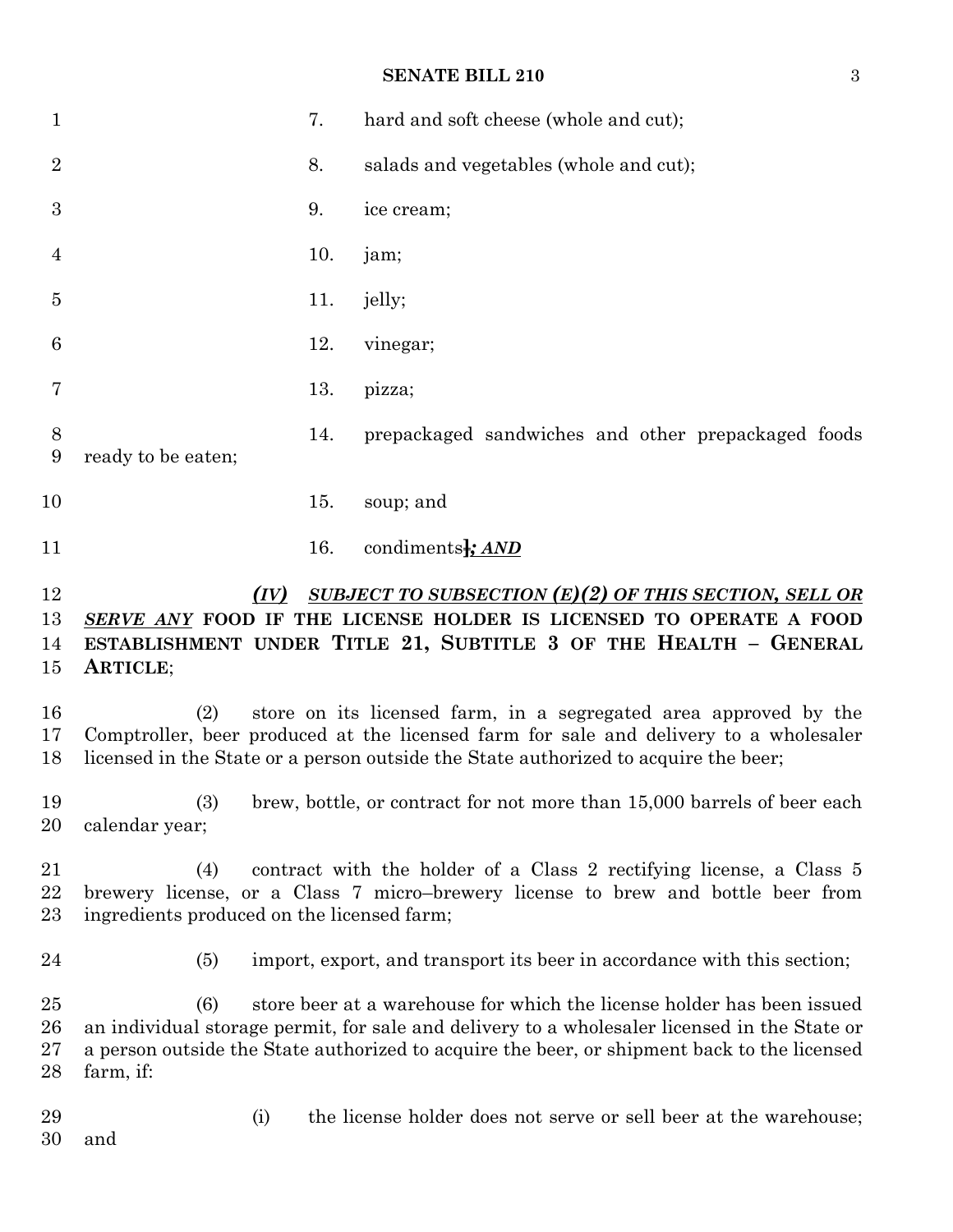### **SENATE BILL 210** 3

| $\mathbf{1}$         |                                                   | 7.  | hard and soft cheese (whole and cut);                                                                                                                                                                                                                                 |
|----------------------|---------------------------------------------------|-----|-----------------------------------------------------------------------------------------------------------------------------------------------------------------------------------------------------------------------------------------------------------------------|
| $\overline{2}$       |                                                   | 8.  | salads and vegetables (whole and cut);                                                                                                                                                                                                                                |
| 3                    |                                                   | 9.  | ice cream;                                                                                                                                                                                                                                                            |
| 4                    |                                                   | 10. | jam;                                                                                                                                                                                                                                                                  |
| $\overline{5}$       |                                                   | 11. | jelly;                                                                                                                                                                                                                                                                |
| 6                    |                                                   | 12. | vinegar;                                                                                                                                                                                                                                                              |
| 7                    |                                                   | 13. | pizza;                                                                                                                                                                                                                                                                |
| $8\,$<br>9           | ready to be eaten;                                | 14. | prepackaged sandwiches and other prepackaged foods                                                                                                                                                                                                                    |
| 10                   |                                                   | 15. | soup; and                                                                                                                                                                                                                                                             |
| 11                   |                                                   | 16. | condiments <sup>1</sup> ; AND                                                                                                                                                                                                                                         |
| 12<br>13<br>14<br>15 | (IV)<br>ARTICLE;                                  |     | SUBJECT TO SUBSECTION $(E)(2)$ OF THIS SECTION, SELL OR<br>SERVE ANY FOOD IF THE LICENSE HOLDER IS LICENSED TO OPERATE A FOOD<br>ESTABLISHMENT UNDER TITLE 21, SUBTITLE 3 OF THE HEALTH - GENERAL                                                                     |
| 16<br>17<br>18       | (2)                                               |     | store on its licensed farm, in a segregated area approved by the<br>Comptroller, beer produced at the licensed farm for sale and delivery to a wholesaler<br>licensed in the State or a person outside the State authorized to acquire the beer;                      |
| 19<br>20             | (3)<br>calendar year;                             |     | brew, bottle, or contract for not more than 15,000 barrels of beer each                                                                                                                                                                                               |
| 21<br>22<br>23       | (4)<br>ingredients produced on the licensed farm; |     | contract with the holder of a Class 2 rectifying license, a Class 5<br>brewery license, or a Class 7 micro-brewery license to brew and bottle beer from                                                                                                               |
| 24                   | (5)                                               |     | import, export, and transport its beer in accordance with this section;                                                                                                                                                                                               |
| 25<br>26<br>27<br>28 | (6)<br>farm, if:                                  |     | store beer at a warehouse for which the license holder has been issued<br>an individual storage permit, for sale and delivery to a wholesaler licensed in the State or<br>a person outside the State authorized to acquire the beer, or shipment back to the licensed |
| 29<br>30             | (i)<br>and                                        |     | the license holder does not serve or sell beer at the warehouse;                                                                                                                                                                                                      |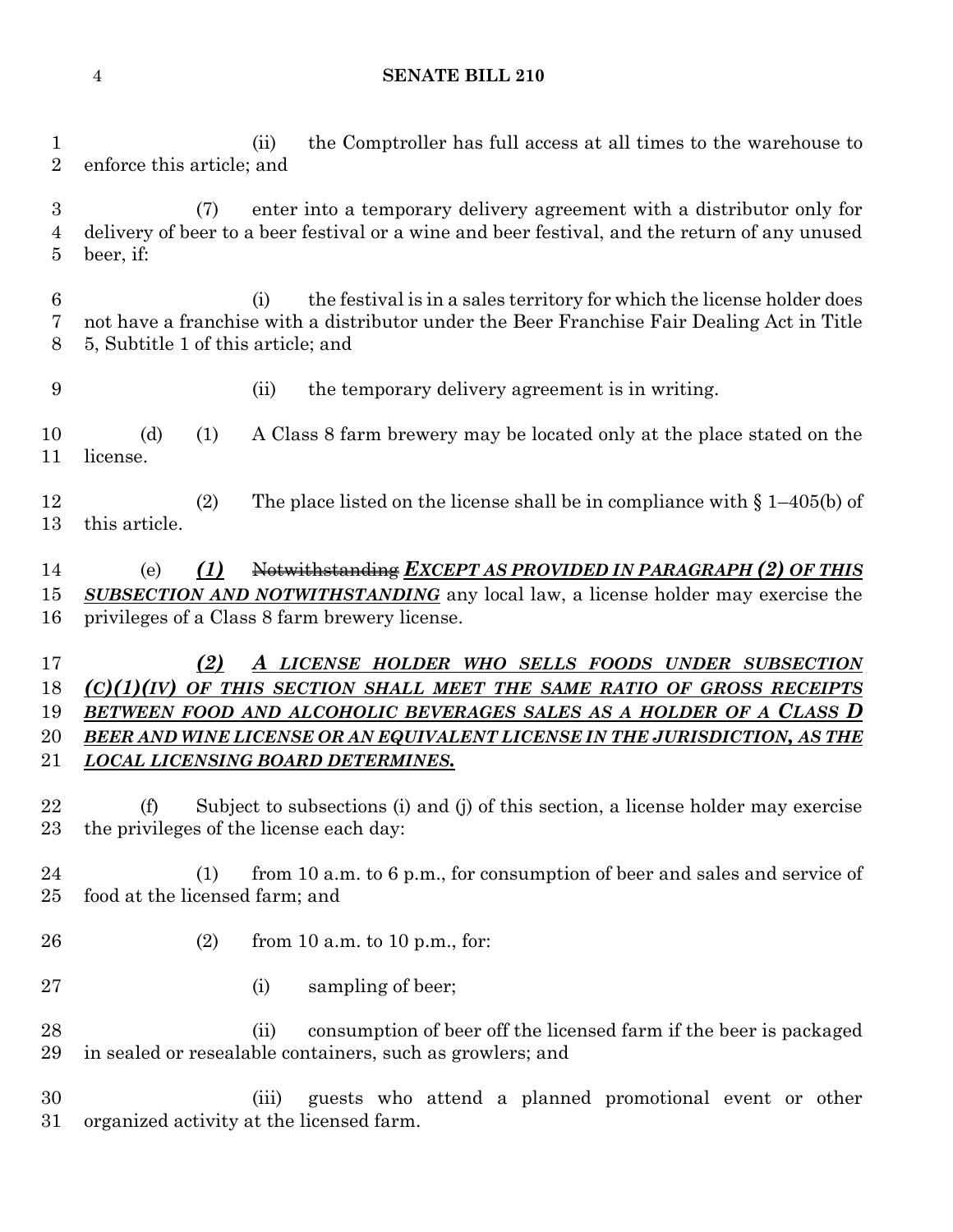#### **SENATE BILL 210**

 (ii) the Comptroller has full access at all times to the warehouse to enforce this article; and

 (7) enter into a temporary delivery agreement with a distributor only for delivery of beer to a beer festival or a wine and beer festival, and the return of any unused beer, if:

 (i) the festival is in a sales territory for which the license holder does not have a franchise with a distributor under the Beer Franchise Fair Dealing Act in Title 5, Subtitle 1 of this article; and

(ii) the temporary delivery agreement is in writing.

 (d) (1) A Class 8 farm brewery may be located only at the place stated on the license.

 (2) The place listed on the license shall be in compliance with § 1–405(b) of this article.

 (e) *(1)* Notwithstanding *EXCEPT AS PROVIDED IN PARAGRAPH (2) OF THIS SUBSECTION AND NOTWITHSTANDING* any local law, a license holder may exercise the privileges of a Class 8 farm brewery license.

 *(2) A LICENSE HOLDER WHO SELLS FOODS UNDER SUBSECTION (C)(1)(IV) OF THIS SECTION SHALL MEET THE SAME RATIO OF GROSS RECEIPTS BETWEEN FOOD AND ALCOHOLIC BEVERAGES SALES AS A HOLDER OF A CLASS D BEER AND WINE LICENSE OR AN EQUIVALENT LICENSE IN THE JURISDICTION, AS THE LOCAL LICENSING BOARD DETERMINES.*

 (f) Subject to subsections (i) and (j) of this section, a license holder may exercise the privileges of the license each day:

 (1) from 10 a.m. to 6 p.m., for consumption of beer and sales and service of food at the licensed farm; and

- (2) from 10 a.m. to 10 p.m., for:
- 27 (i) sampling of beer;

28 (ii) consumption of beer off the licensed farm if the beer is packaged in sealed or resealable containers, such as growlers; and

 (iii) guests who attend a planned promotional event or other organized activity at the licensed farm.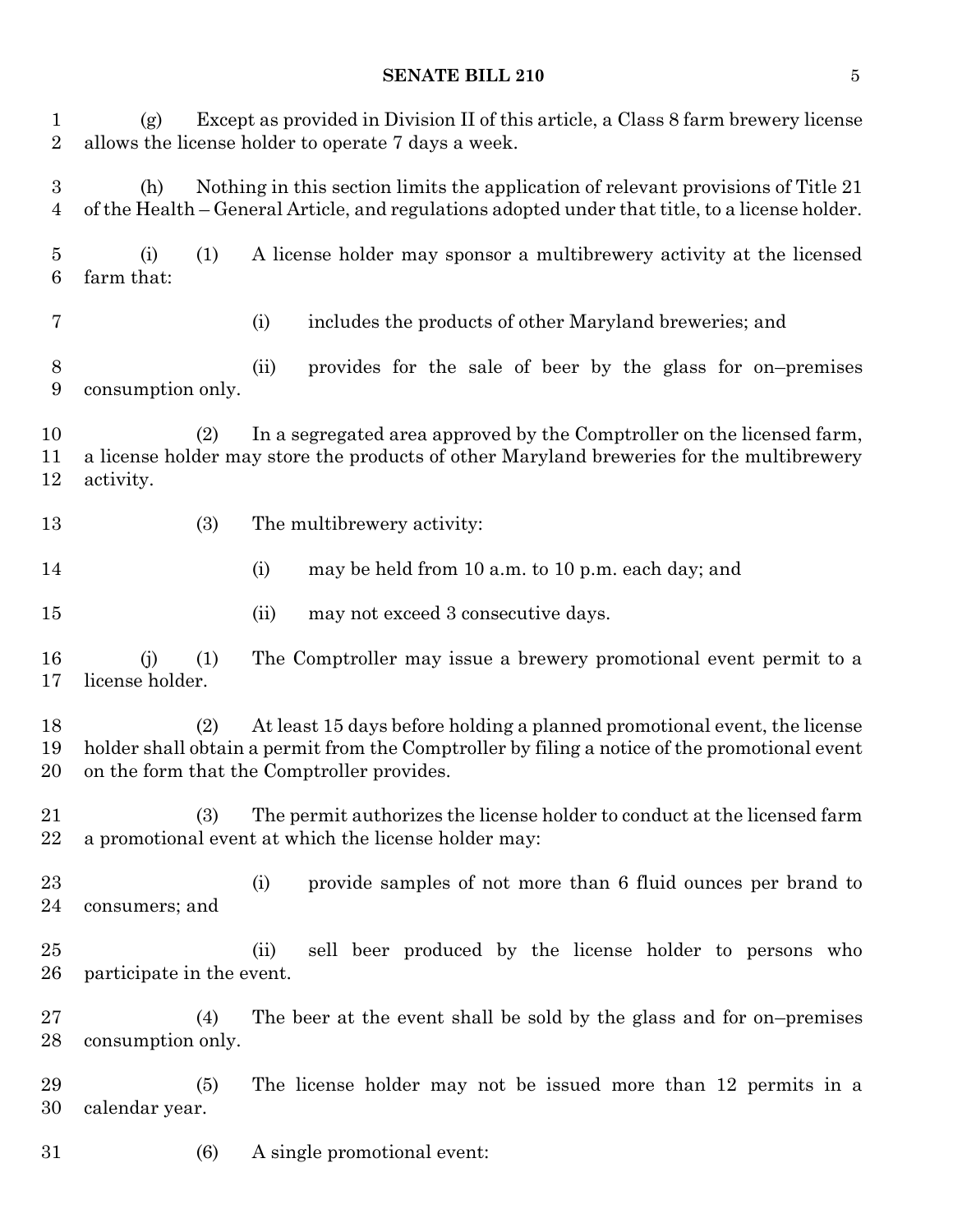### **SENATE BILL 210** 5

| $\mathbf{1}$<br>$\overline{2}$ | (g)                                                                                                                                                                                                                            |     | Except as provided in Division II of this article, a Class 8 farm brewery license<br>allows the license holder to operate 7 days a week.                                             |  |  |  |
|--------------------------------|--------------------------------------------------------------------------------------------------------------------------------------------------------------------------------------------------------------------------------|-----|--------------------------------------------------------------------------------------------------------------------------------------------------------------------------------------|--|--|--|
| $\boldsymbol{3}$<br>4          | (h)                                                                                                                                                                                                                            |     | Nothing in this section limits the application of relevant provisions of Title 21<br>of the Health – General Article, and regulations adopted under that title, to a license holder. |  |  |  |
| 5<br>6                         | (i)<br>farm that:                                                                                                                                                                                                              | (1) | A license holder may sponsor a multibrewery activity at the licensed                                                                                                                 |  |  |  |
| 7                              |                                                                                                                                                                                                                                |     | includes the products of other Maryland breweries; and<br>(i)                                                                                                                        |  |  |  |
| 8<br>$\boldsymbol{9}$          | consumption only.                                                                                                                                                                                                              |     | provides for the sale of beer by the glass for on-premises<br>(ii)                                                                                                                   |  |  |  |
| 10<br>11<br>12                 | In a segregated area approved by the Comptroller on the licensed farm,<br>(2)<br>a license holder may store the products of other Maryland breweries for the multibrewery<br>activity.                                         |     |                                                                                                                                                                                      |  |  |  |
| 13                             |                                                                                                                                                                                                                                | (3) | The multibrewery activity:                                                                                                                                                           |  |  |  |
| 14                             |                                                                                                                                                                                                                                |     | (i)<br>may be held from 10 a.m. to 10 p.m. each day; and                                                                                                                             |  |  |  |
| 15                             |                                                                                                                                                                                                                                |     | may not exceed 3 consecutive days.<br>(ii)                                                                                                                                           |  |  |  |
| 16<br>17                       | (j)<br>license holder.                                                                                                                                                                                                         | (1) | The Comptroller may issue a brewery promotional event permit to a                                                                                                                    |  |  |  |
| 18<br>19<br>20                 | At least 15 days before holding a planned promotional event, the license<br>(2)<br>holder shall obtain a permit from the Comptroller by filing a notice of the promotional event<br>on the form that the Comptroller provides. |     |                                                                                                                                                                                      |  |  |  |
| 21<br>22                       |                                                                                                                                                                                                                                | (3) | The permit authorizes the license holder to conduct at the licensed farm<br>a promotional event at which the license holder may:                                                     |  |  |  |
| $^{23}$<br>24                  | consumers; and                                                                                                                                                                                                                 |     | provide samples of not more than 6 fluid ounces per brand to<br>(i)                                                                                                                  |  |  |  |
| $25\,$<br>$26\,$               | participate in the event.                                                                                                                                                                                                      |     | sell beer produced by the license holder to persons who<br>(ii)                                                                                                                      |  |  |  |
| $27\,$<br>28                   | consumption only.                                                                                                                                                                                                              | (4) | The beer at the event shall be sold by the glass and for on-premises                                                                                                                 |  |  |  |
| 29<br>30                       | calendar year.                                                                                                                                                                                                                 | (5) | The license holder may not be issued more than 12 permits in a                                                                                                                       |  |  |  |
| $31\,$                         |                                                                                                                                                                                                                                | (6) | A single promotional event:                                                                                                                                                          |  |  |  |